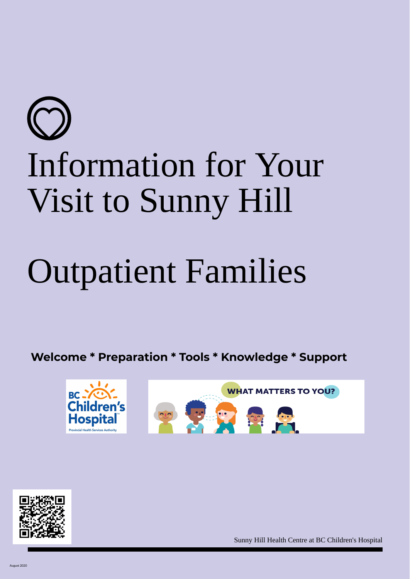# Information for Your Visit to Sunny Hill

# Outpatient Families

**Welcome \* Preparation \* Tools \* Knowledge \* Support**





Sunny Hill Health Centre at BC Children's Hospital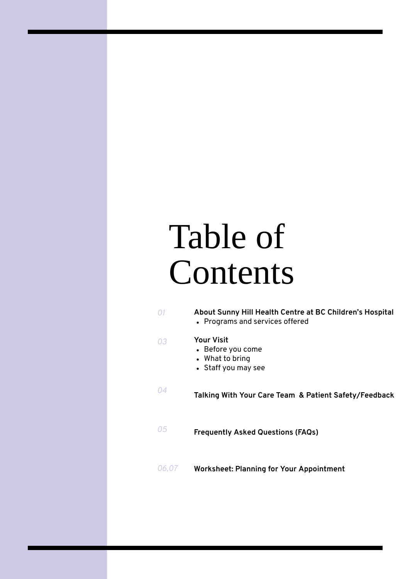# Table of Contents

| 01    | About Sunny Hill Health Centre at BC Children's Hospital<br>• Programs and services offered |
|-------|---------------------------------------------------------------------------------------------|
| 03    | <b>Your Visit</b><br>• Before you come<br>• What to bring<br>• Staff you may see            |
| 04    | Talking With Your Care Team & Patient Safety/Feedback                                       |
| 05    | <b>Frequently Asked Questions (FAQs)</b>                                                    |
| 06,07 | <b>Worksheet: Planning for Your Appointment</b>                                             |
|       |                                                                                             |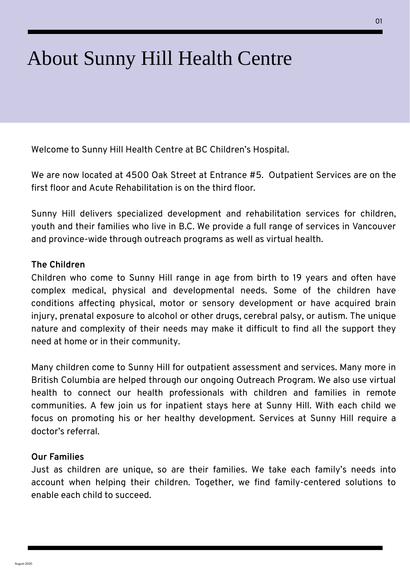# About Sunny Hill Health Centre

Welcome to Sunny Hill Health Centre at BC Children's Hospital.

We are now located at 4500 Oak Street at Entrance #5. Outpatient Services are on the first floor and Acute Rehabilitation is on the third floor.

Sunny Hill delivers specialized development and rehabilitation services for children, youth and their families who live in B.C. We provide a full range of services in Vancouver and province-wide through outreach programs as well as virtual health.

#### **The Children**

Children who come to Sunny Hill range in age from birth to 19 years and often have complex medical, physical and developmental needs. Some of the children have conditions affecting physical, motor or sensory development or have acquired brain injury, prenatal exposure to alcohol or other drugs, cerebral palsy, or autism. The unique nature and complexity of their needs may make it difficult to find all the support they need at home or in their community.

Many children come to Sunny Hill for outpatient assessment and services. Many more in British Columbia are helped through our ongoing Outreach Program. We also use virtual health to connect our health professionals with children and families in remote communities. A few join us for inpatient stays here at Sunny Hill. With each child we focus on promoting his or her healthy development. Services at Sunny Hill require a doctor's referral.

#### **Our Families**

Just as children are unique, so are their families. We take each family's needs into account when helping their children. Together, we find family-centered solutions to enable each child to succeed.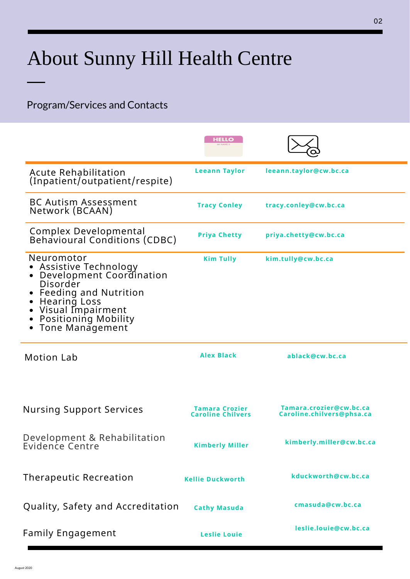# About Sunny Hill Health Centre

#### Program/Services and Contacts

|                                                                                                                                                                                                   | HELLO                                      |                                                      |
|---------------------------------------------------------------------------------------------------------------------------------------------------------------------------------------------------|--------------------------------------------|------------------------------------------------------|
| <b>Acute Rehabilitation</b><br>(Inpatient/outpatient/respite)                                                                                                                                     | <b>Leeann Taylor</b>                       | leeann.taylor@cw.bc.ca                               |
| <b>BC Autism Assessment</b><br>Network (BCAAN)                                                                                                                                                    | <b>Tracy Conley</b>                        | tracy.conley@cw.bc.ca                                |
| <b>Complex Developmental<br/>Behavioural Conditions (CDBC)</b>                                                                                                                                    | <b>Priya Chetty</b>                        | priya.chetty@cw.bc.ca                                |
| Neuromotor<br>Assistive Technology<br>Development Coordination<br>Disorder<br><b>Feeding and Nutrition</b><br><b>Hearing Loss</b><br>Visual Impairment<br>Positioning Mobility<br>Tone Management | <b>Kim Tully</b>                           | kim.tully@cw.bc.ca                                   |
| <b>Motion Lab</b>                                                                                                                                                                                 | <b>Alex Black</b>                          | ablack@cw.bc.ca                                      |
| <b>Nursing Support Services</b>                                                                                                                                                                   | Tamara Crozier<br><b>Caroline Chilvers</b> | Tamara.crozier@cw.bc.ca<br>Caroline.chilvers@phsa.ca |
| Development & Rehabilitation<br>Evidence Centre                                                                                                                                                   | <b>Kimberly Miller</b>                     | kimberly.miller@cw.bc.ca                             |
| <b>Therapeutic Recreation</b>                                                                                                                                                                     | <b>Kellie Duckworth</b>                    | kduckworth@cw.bc.ca                                  |
| Quality, Safety and Accreditation                                                                                                                                                                 | <b>Cathy Masuda</b>                        | cmasuda@cw.bc.ca                                     |
| <b>Family Engagement</b>                                                                                                                                                                          | <b>Leslie Louie</b>                        | leslie.louie@cw.bc.ca                                |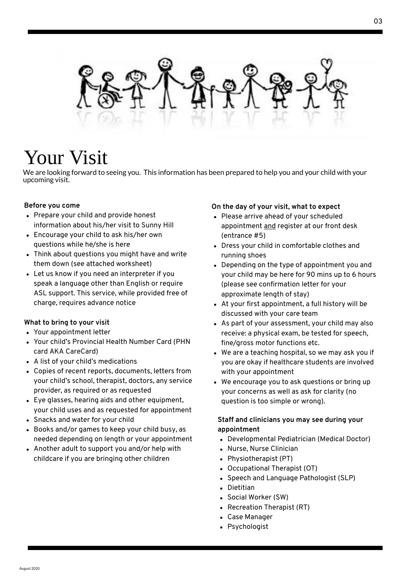

### Your Visit

We are looking forward to seeing you. This information has been prepared to help you and your child with your u p c o min g visit.

#### **B e f o r e y o u c o m e**

- Prepare your child and provide honest information about his/her visit to Sunn y Hill
- Encourage your child to ask his/her own questions while he/she is here
- Think about questions you might have and w rit e them down (see attached worksheet)
- Let us know if you need an interpreter if you speak a language other than English or require ASL support. This service, while provided free of charge, requires advance notice

#### What to bring to your visit

- Your appointment letter
- Your child's Provincial Health Number Card (PHN card AKA CareCard)
- A list of your child's medications
- Copies of recent reports, documents, letters from your child's school, therapist, doctors, any service provider, as required or as requested
- Eye glasses, hearing aids and other equipment, your child uses and as requested for appointment
- Snacks and water for your child
- Books and/or games to keep your child busy, as needed depending on length or your appointment
- Another adult to support you and/or help with childcare if you are bringing other children

#### On the day of your visit, what to expect

- Please arrive ahead of your scheduled appointment <u>and</u> register at our front desk (entrance #5)
- Dress your child in comfortable clothes and running shoes
- Depending on the type of appointment you and your child may be here for 90 mins up to 6 hours (please see confirmation letter for your approximate length of stay)
- At your first appointment, a full history will be discussed with your care team
- As part of your assessment, your child may also receive: a physical exam, be tested for speech, fine/gross motor functions etc.
- We are a teaching hospital, so we may ask you if you are okay if healthcare students are involved with your appointment
- We encourage you to ask questions or bring up your concerns as well as ask for clarity (no question is too simple or wrong).

#### Staff and clinicians you may see during your **a p p o i n t m e n t**

- Developmental Pediatrician (Medical Doctor)
- N u r s e , N u r s e Clinicia n
- Physiotherapist (PT)
- Occupational Therapist (OT)
- Speech and Language Pathologist (SLP)
- Die titia n
- Social Worker (SW)
- Recreation Therapist (RT)
- C a s e M a n a g e r
- Psychologist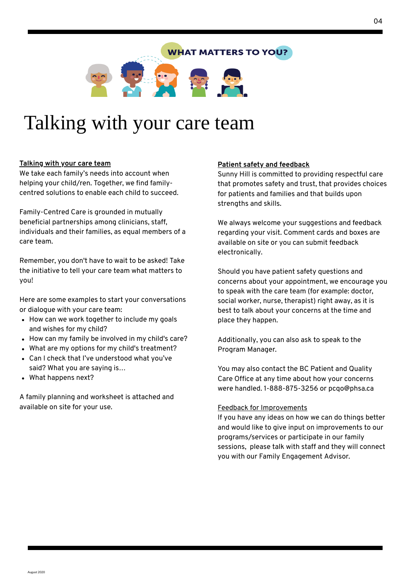#### **WHAT MATTERS TO YOU?**



# Talking with your care team

#### **Talking with your care team**

We take each family's needs into account when helping your child/ren. Together, we find familycentred solutions to enable each child to succeed.

Family-Centred Care is grounded in mutually beneficial partnerships among clinicians, staff, individuals and their families, as equal members of a care team.

Remember, you don't have to wait to be asked! Take the initiative to tell your care team what matters to you!

Here are some examples to start your conversations or dialogue with your care team:

- How can we work together to include my goals and wishes for my child?
- How can my family be involved in my child's care?
- What are my options for my child's treatment?
- Can I check that I've understood what you've said? What you are saying is…
- What happens next?

A family planning and worksheet is attached and available on site for your use.

#### **Patient safety and feedback**

Sunny Hill is committed to providing respectful care that promotes safety and trust, that provides choices for patients and families and that builds upon strengths and skills.

We always welcome your suggestions and feedback regarding your visit. Comment cards and boxes are available on site or you can submit feedback electronically.

Should you have patient safety questions and concerns about your appointment, we encourage you to speak with the care team (for example: doctor, social worker, nurse, therapist) right away, as it is best to talk about your concerns at the time and place they happen.

Additionally, you can also ask to speak to the Program Manager.

You may also contact the BC Patient and Quality Care Office at any time about how your concerns were handled. 1-888-875-3256 or pcqo@phsa.ca

#### Feedback for Improvements

If you have any ideas on how we can do things better and would like to give input on improvements to our programs/services or participate in our family sessions, please talk with staff and they will connect you with our Family Engagement Advisor.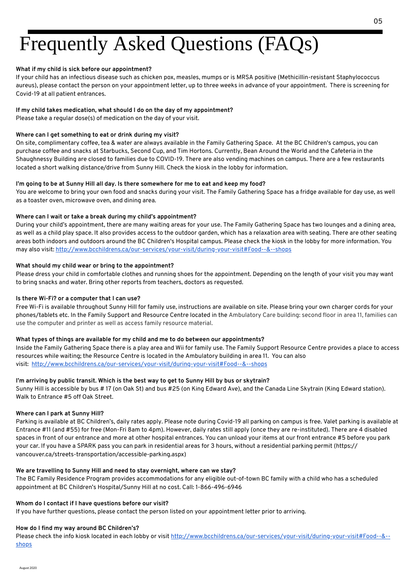# Frequently Asked Questions (FAQs)

#### **What if my child is sick before our appointment?**

If your child has an infectious disease such as chicken pox, measles, mumps or is MRSA positive (Methicillin-resistant Staphylococcus aureus), please contact the person on your appointment letter, up to three weeks in advance of your appointment. There is screening for Covid-19 at all patient entrances.

#### **If my child takes medication, what should I do on the day of my appointment?**

Please take a regular dose(s) of medication on the day of your visit.

#### **Where can I get something to eat or drink during my visit?**

On site, complimentary coffee, tea & water are always available in the Family Gathering Space. At the BC Children's campus, you can purchase coffee and snacks at Starbucks, Second Cup, and Tim Hortons. Currently, Bean Around the World and the Cafeteria in the Shaughnessy Building are closed to families due to COVID-19. There are also vending machines on campus. There are a few restaurants located a short walking distance/drive from Sunny Hill. Check the kiosk in the lobby for information.

#### I'm going to be at Sunny Hill all day. Is there somewhere for me to eat and keep my food?

You are welcome to bring your own food and snacks during your visit. The Family Gathering Space has a fridge available for day use, as well as a toaster oven, microwave oven, and dining area.

#### **Where can I wait or take a break during my child's appointment?**

During your child's appointment, there are many waiting areas for your use. The Family Gathering Space has two lounges and a dining area, as well as a child play space. It also provides access to the outdoor garden, which has a relaxation area with seating. There are other seating areas both indoors and outdoors around the BC Children's Hospital campus. Please check the kiosk in the lobby for more information. You may also visit: http://www.bcchildrens.ca/our-services/your-visit/during-your-visit#Food--&--shops

#### **What should my child wear or bring to the appointment?**

Please dress your child in comfortable clothes and running shoes for the appointment. Depending on the length of your visit you may want to bring snacks and water. Bring other reports from teachers, doctors as requested.

#### **Is there Wi-Fi? or a computer that I can use?**

Free Wi-Fi is available throughout Sunny Hill for family use, instructions are available on site. Please bring your own charger cords for your phones/tablets etc. In the Family Support and Resource Centre located in the Ambulatory Care building: second floor in area 11, families can use the computer and printer as well as access family resource material.

#### **What types of things are available for my child and me to do between our appointments?**

Inside the Family Gathering Space there is a play area and Wii for family use. The Family Support Resource Centre provides a place to access resources while waiting; the Resource Centre is located in the Ambulatory building in area 11. You can also visit: http://www.bcchildrens.ca/our-services/your-visit/during-your-visit#Food--&--shops

#### I'm arriving by public transit. Which is the best way to get to Sunny Hill by bus or skytrain?

Sunny Hill is accessible by bus # 17 (on Oak St) and bus #25 (on King Edward Ave), and the Canada Line Skytrain (King Edward station). Walk to Entrance #5 off Oak Street.

#### **Where can I park at Sunny Hill?**

Parking is available at BC Children's, daily rates apply. Please note during Covid-19 all parking on campus is free. Valet parking is available at Entrance #11 (and #55) for free (Mon-Fri 8am to 4pm). However, daily rates still apply (once they are re-instituted). There are 4 disabled spaces in front of our entrance and more at other hospital entrances. You can unload your items at our front entrance #5 before you park your car. If you have a SPARK pass you can park in residential areas for 3 hours, without a residential parking permit (https:// vancouver.ca/streets-transportation/accessible-parking.aspx)

#### **We are travelling to Sunny Hill and need to stay overnight, where can we stay?**

The BC Family Residence Program provides accommodations for any eligible out-of-town BC family with a child who has a scheduled appointment at BC Children's Hospital/Sunny Hill at no cost. Call: 1-866-496-6946

#### **Whom do I contact if I have questions before our visit?**

If you have further questions, please contact the person listed on your appointment letter prior to arriving.

#### **How do I find my way around BC Children's?**

Please check the info kiosk located in each lobby or visit http://www.bcchildrens.ca/our-services/your-visit/during-your-visit#Food--&-shops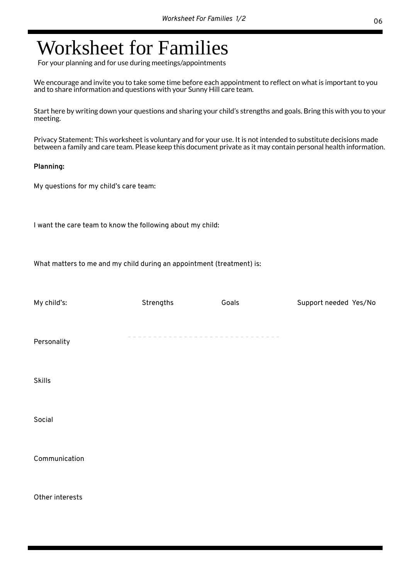### Worksheet for Families

For your planning and for use during meetings/appointments

We encourage and invite you to take some time before each appointment to reflect on what is important to you and to share information and questions with your Sunny Hill care team.

Start here by writing down your questions and sharing your child's strengths and goals. Bring this with you to your meeting.

Privacy Statement: This worksheet is voluntary and for your use. It is not intended to substitute decisions made between a family and care team. Please keep this document private as it may contain personal health information.

#### **Planning:**

My questions for my child's care team:

I want the care team to know the following about my child:

What matters to me and my child during an appointment (treatment) is:

| My child's:     | Strengths             | Goals | Support needed Yes/No |
|-----------------|-----------------------|-------|-----------------------|
| Personality     | --------------------- |       |                       |
| <b>Skills</b>   |                       |       |                       |
| Social          |                       |       |                       |
| Communication   |                       |       |                       |
| Other interests |                       |       |                       |